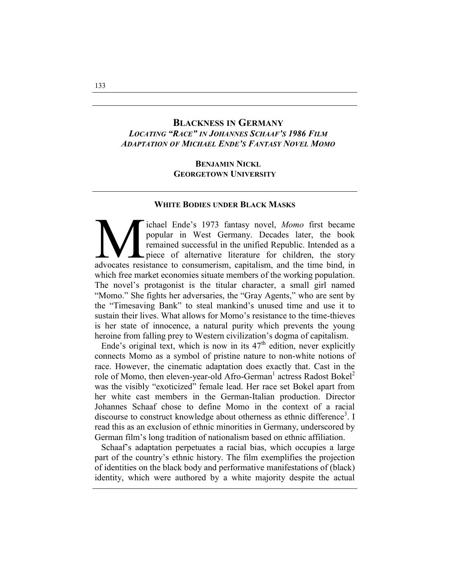# **BLACKNESS IN GERMANY** *LOCATING "RACE" IN JOHANNES SCHAAF'S 1986 FILM ADAPTATION OF MICHAEL ENDE'S FANTASY NOVEL MOMO*

## **BENJAMIN NICKL GEORGETOWN UNIVERSITY**

#### **WHITE BODIES UNDER BLACK MASKS**

Tichael Ende's 1973 fantasy novel, Momo first became popular in West Germany. Decades later, the book remained successful in the unified Republic. Intended as a piece of alternative literature for children, the story advoc ichael Ende's 1973 fantasy novel, *Momo* first became popular in West Germany. Decades later, the book remained successful in the unified Republic. Intended as a piece of alternative literature for children, the story which free market economies situate members of the working population. The novel's protagonist is the titular character, a small girl named "Momo." She fights her adversaries, the "Gray Agents," who are sent by the "Timesaving Bank" to steal mankind's unused time and use it to sustain their lives. What allows for Momo's resistance to the time-thieves is her state of innocence, a natural purity which prevents the young heroine from falling prey to Western civilization's dogma of capitalism.

Ende's original text, which is now in its  $47<sup>th</sup>$  edition, never explicitly connects Momo as a symbol of pristine nature to non-white notions of race. However, the cinematic adaptation does exactly that. Cast in the role of Momo, then eleven-year-old Afro-German<sup>1</sup> actress Radost Bokel<sup>2</sup> was the visibly "exoticized" female lead. Her race set Bokel apart from her white cast members in the German-Italian production. Director Johannes Schaaf chose to define Momo in the context of a racial discourse to construct knowledge about otherness as ethnic difference<sup>3</sup>. I read this as an exclusion of ethnic minorities in Germany, underscored by German film's long tradition of nationalism based on ethnic affiliation.

Schaaf's adaptation perpetuates a racial bias, which occupies a large part of the country's ethnic history. The film exemplifies the projection of identities on the black body and performative manifestations of (black) identity, which were authored by a white majority despite the actual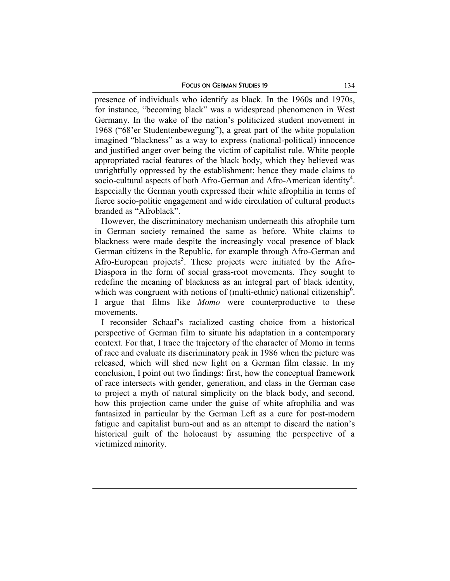presence of individuals who identify as black. In the 1960s and 1970s, for instance, "becoming black" was a widespread phenomenon in West Germany. In the wake of the nation's politicized student movement in 1968 ("68'er Studentenbewegung"), a great part of the white population imagined "blackness" as a way to express (national-political) innocence and justified anger over being the victim of capitalist rule. White people appropriated racial features of the black body, which they believed was unrightfully oppressed by the establishment; hence they made claims to socio-cultural aspects of both Afro-German and Afro-American identity<sup>4</sup>. Especially the German youth expressed their white afrophilia in terms of fierce socio-politic engagement and wide circulation of cultural products branded as "Afroblack".

However, the discriminatory mechanism underneath this afrophile turn in German society remained the same as before. White claims to blackness were made despite the increasingly vocal presence of black German citizens in the Republic, for example through Afro-German and Afro-European projects<sup>5</sup>. These projects were initiated by the Afro-Diaspora in the form of social grass-root movements. They sought to redefine the meaning of blackness as an integral part of black identity, which was congruent with notions of (multi-ethnic) national citizenship<sup>6</sup>. I argue that films like *Momo* were counterproductive to these movements.

I reconsider Schaaf's racialized casting choice from a historical perspective of German film to situate his adaptation in a contemporary context. For that, I trace the trajectory of the character of Momo in terms of race and evaluate its discriminatory peak in 1986 when the picture was released, which will shed new light on a German film classic. In my conclusion, I point out two findings: first, how the conceptual framework of race intersects with gender, generation, and class in the German case to project a myth of natural simplicity on the black body, and second, how this projection came under the guise of white afrophilia and was fantasized in particular by the German Left as a cure for post-modern fatigue and capitalist burn-out and as an attempt to discard the nation's historical guilt of the holocaust by assuming the perspective of a victimized minority.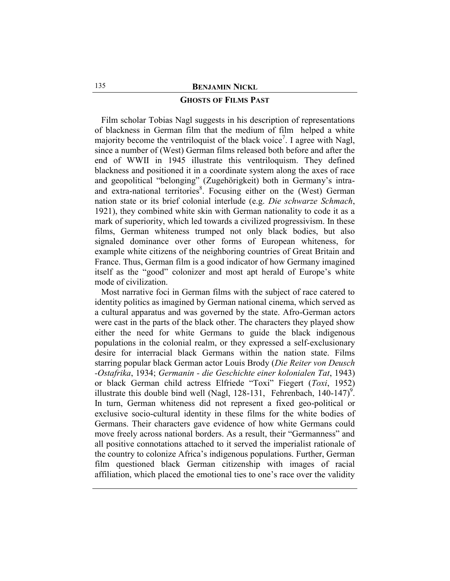### **GHOSTS OF FILMS PAST**

Film scholar Tobias Nagl suggests in his description of representations of blackness in German film that the medium of film helped a white majority become the ventriloquist of the black voice<sup>7</sup>. I agree with Nagl, since a number of (West) German films released both before and after the end of WWII in 1945 illustrate this ventriloquism. They defined blackness and positioned it in a coordinate system along the axes of race and geopolitical "belonging" (Zugehörigkeit) both in Germany's intraand extra-national territories<sup>8</sup>. Focusing either on the (West) German nation state or its brief colonial interlude (e.g. *Die schwarze Schmach*, 1921), they combined white skin with German nationality to code it as a mark of superiority, which led towards a civilized progressivism. In these films, German whiteness trumped not only black bodies, but also signaled dominance over other forms of European whiteness, for example white citizens of the neighboring countries of Great Britain and France. Thus, German film is a good indicator of how Germany imagined itself as the "good" colonizer and most apt herald of Europe's white mode of civilization.

Most narrative foci in German films with the subject of race catered to identity politics as imagined by German national cinema, which served as a cultural apparatus and was governed by the state. Afro-German actors were cast in the parts of the black other. The characters they played show either the need for white Germans to guide the black indigenous populations in the colonial realm, or they expressed a self-exclusionary desire for interracial black Germans within the nation state. Films starring popular black German actor Louis Brody (*Die Reiter von Deusch -Ostafrika*, 1934; *Germanin - die Geschichte einer kolonialen Tat*, 1943) or black German child actress Elfriede "Toxi" Fiegert (*Toxi*, 1952) illustrate this double bind well (Nagl, 128-131, Fehrenbach, 140-147)<sup>9</sup>. In turn, German whiteness did not represent a fixed geo-political or exclusive socio-cultural identity in these films for the white bodies of Germans. Their characters gave evidence of how white Germans could move freely across national borders. As a result, their "Germanness" and all positive connotations attached to it served the imperialist rationale of the country to colonize Africa's indigenous populations. Further, German film questioned black German citizenship with images of racial affiliation, which placed the emotional ties to one's race over the validity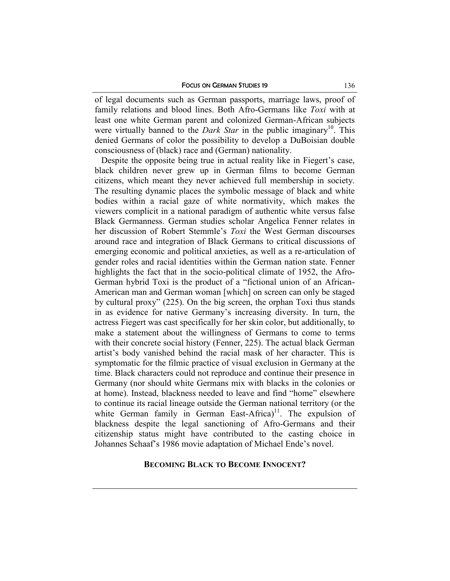of legal documents such as German passports, marriage laws, proof of family relations and blood lines. Both Afro-Germans like *Toxi* with at least one white German parent and colonized German-African subjects were virtually banned to the *Dark Star* in the public imaginary<sup>10</sup>. This denied Germans of color the possibility to develop a DuBoisian double consciousness of (black) race and (German) nationality.

Despite the opposite being true in actual reality like in Fiegert's case, black children never grew up in German films to become German citizens, which meant they never achieved full membership in society. The resulting dynamic places the symbolic message of black and white bodies within a racial gaze of white normativity, which makes the viewers complicit in a national paradigm of authentic white versus false Black Germanness. German studies scholar Angelica Fenner relates in her discussion of Robert Stemmle's *Toxi* the West German discourses around race and integration of Black Germans to critical discussions of emerging economic and political anxieties, as well as a re-articulation of gender roles and racial identities within the German nation state. Fenner highlights the fact that in the socio-political climate of 1952, the Afro-German hybrid Toxi is the product of a "fictional union of an African-American man and German woman [which] on screen can only be staged by cultural proxy" (225). On the big screen, the orphan Toxi thus stands in as evidence for native Germany's increasing diversity. In turn, the actress Fiegert was cast specifically for her skin color, but additionally, to make a statement about the willingness of Germans to come to terms with their concrete social history (Fenner, 225). The actual black German artist's body vanished behind the racial mask of her character. This is symptomatic for the filmic practice of visual exclusion in Germany at the time. Black characters could not reproduce and continue their presence in Germany (nor should white Germans mix with blacks in the colonies or at home). Instead, blackness needed to leave and find "home" elsewhere to continue its racial lineage outside the German national territory (or the white German family in German East-Africa)<sup>11</sup>. The expulsion of blackness despite the legal sanctioning of Afro-Germans and their citizenship status might have contributed to the casting choice in Johannes Schaaf's 1986 movie adaptation of Michael Ende's novel.

## **BECOMING BLACK TO BECOME INNOCENT?**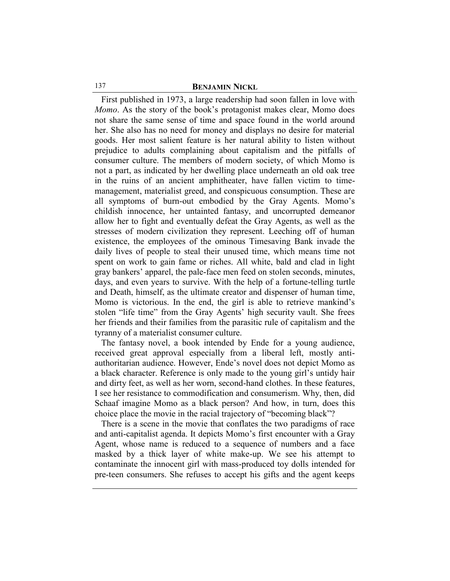First published in 1973, a large readership had soon fallen in love with *Momo*. As the story of the book's protagonist makes clear, Momo does not share the same sense of time and space found in the world around her. She also has no need for money and displays no desire for material goods. Her most salient feature is her natural ability to listen without prejudice to adults complaining about capitalism and the pitfalls of consumer culture. The members of modern society, of which Momo is not a part, as indicated by her dwelling place underneath an old oak tree in the ruins of an ancient amphitheater, have fallen victim to timemanagement, materialist greed, and conspicuous consumption. These are all symptoms of burn-out embodied by the Gray Agents. Momo's childish innocence, her untainted fantasy, and uncorrupted demeanor allow her to fight and eventually defeat the Gray Agents, as well as the stresses of modern civilization they represent. Leeching off of human existence, the employees of the ominous Timesaving Bank invade the daily lives of people to steal their unused time, which means time not spent on work to gain fame or riches. All white, bald and clad in light gray bankers' apparel, the pale-face men feed on stolen seconds, minutes, days, and even years to survive. With the help of a fortune-telling turtle and Death, himself, as the ultimate creator and dispenser of human time, Momo is victorious. In the end, the girl is able to retrieve mankind's stolen "life time" from the Gray Agents' high security vault. She frees her friends and their families from the parasitic rule of capitalism and the tyranny of a materialist consumer culture.

The fantasy novel, a book intended by Ende for a young audience, received great approval especially from a liberal left, mostly antiauthoritarian audience. However, Ende's novel does not depict Momo as a black character. Reference is only made to the young girl's untidy hair and dirty feet, as well as her worn, second-hand clothes. In these features, I see her resistance to commodification and consumerism. Why, then, did Schaaf imagine Momo as a black person? And how, in turn, does this choice place the movie in the racial trajectory of "becoming black"?

There is a scene in the movie that conflates the two paradigms of race and anti-capitalist agenda. It depicts Momo's first encounter with a Gray Agent, whose name is reduced to a sequence of numbers and a face masked by a thick layer of white make-up. We see his attempt to contaminate the innocent girl with mass-produced toy dolls intended for pre-teen consumers. She refuses to accept his gifts and the agent keeps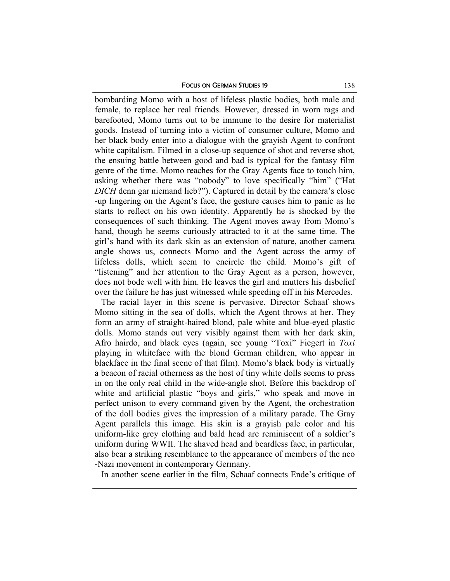#### FOCUS ON GERMAN STUDIES 19 138

bombarding Momo with a host of lifeless plastic bodies, both male and female, to replace her real friends. However, dressed in worn rags and barefooted, Momo turns out to be immune to the desire for materialist goods. Instead of turning into a victim of consumer culture, Momo and her black body enter into a dialogue with the grayish Agent to confront white capitalism. Filmed in a close-up sequence of shot and reverse shot, the ensuing battle between good and bad is typical for the fantasy film genre of the time. Momo reaches for the Gray Agents face to touch him, asking whether there was "nobody" to love specifically "him" ("Hat *DICH* denn gar niemand lieb?"). Captured in detail by the camera's close -up lingering on the Agent's face, the gesture causes him to panic as he starts to reflect on his own identity. Apparently he is shocked by the consequences of such thinking. The Agent moves away from Momo's hand, though he seems curiously attracted to it at the same time. The girl's hand with its dark skin as an extension of nature, another camera angle shows us, connects Momo and the Agent across the army of lifeless dolls, which seem to encircle the child. Momo's gift of "listening" and her attention to the Gray Agent as a person, however, does not bode well with him. He leaves the girl and mutters his disbelief over the failure he has just witnessed while speeding off in his Mercedes.

The racial layer in this scene is pervasive. Director Schaaf shows Momo sitting in the sea of dolls, which the Agent throws at her. They form an army of straight-haired blond, pale white and blue-eyed plastic dolls. Momo stands out very visibly against them with her dark skin, Afro hairdo, and black eyes (again, see young "Toxi" Fiegert in *Toxi*  playing in whiteface with the blond German children, who appear in blackface in the final scene of that film). Momo's black body is virtually a beacon of racial otherness as the host of tiny white dolls seems to press in on the only real child in the wide-angle shot. Before this backdrop of white and artificial plastic "boys and girls," who speak and move in perfect unison to every command given by the Agent, the orchestration of the doll bodies gives the impression of a military parade. The Gray Agent parallels this image. His skin is a grayish pale color and his uniform-like grey clothing and bald head are reminiscent of a soldier's uniform during WWII. The shaved head and beardless face, in particular, also bear a striking resemblance to the appearance of members of the neo -Nazi movement in contemporary Germany.

In another scene earlier in the film, Schaaf connects Ende's critique of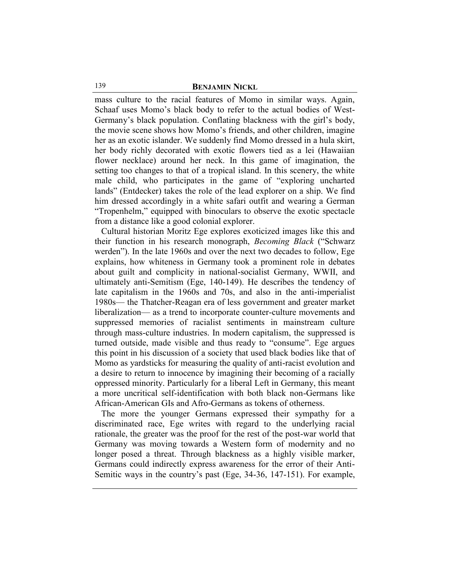mass culture to the racial features of Momo in similar ways. Again, Schaaf uses Momo's black body to refer to the actual bodies of West-Germany's black population. Conflating blackness with the girl's body, the movie scene shows how Momo's friends, and other children, imagine her as an exotic islander. We suddenly find Momo dressed in a hula skirt, her body richly decorated with exotic flowers tied as a lei (Hawaiian flower necklace) around her neck. In this game of imagination, the setting too changes to that of a tropical island. In this scenery, the white male child, who participates in the game of "exploring uncharted lands" (Entdecker) takes the role of the lead explorer on a ship. We find him dressed accordingly in a white safari outfit and wearing a German "Tropenhelm," equipped with binoculars to observe the exotic spectacle from a distance like a good colonial explorer.

Cultural historian Moritz Ege explores exoticized images like this and their function in his research monograph, *Becoming Black* ("Schwarz werden"). In the late 1960s and over the next two decades to follow, Ege explains, how whiteness in Germany took a prominent role in debates about guilt and complicity in national-socialist Germany, WWII, and ultimately anti-Semitism (Ege, 140-149). He describes the tendency of late capitalism in the 1960s and 70s, and also in the anti-imperialist 1980s— the Thatcher-Reagan era of less government and greater market liberalization— as a trend to incorporate counter-culture movements and suppressed memories of racialist sentiments in mainstream culture through mass-culture industries. In modern capitalism, the suppressed is turned outside, made visible and thus ready to "consume". Ege argues this point in his discussion of a society that used black bodies like that of Momo as yardsticks for measuring the quality of anti-racist evolution and a desire to return to innocence by imagining their becoming of a racially oppressed minority. Particularly for a liberal Left in Germany, this meant a more uncritical self-identification with both black non-Germans like African-American GIs and Afro-Germans as tokens of otherness.

The more the younger Germans expressed their sympathy for a discriminated race, Ege writes with regard to the underlying racial rationale, the greater was the proof for the rest of the post-war world that Germany was moving towards a Western form of modernity and no longer posed a threat. Through blackness as a highly visible marker, Germans could indirectly express awareness for the error of their Anti-Semitic ways in the country's past (Ege, 34-36, 147-151). For example,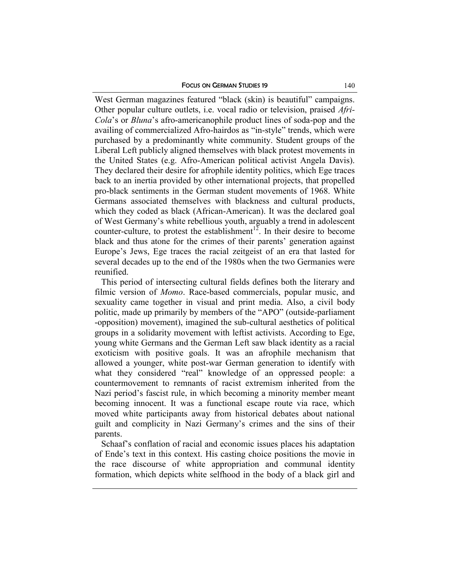West German magazines featured "black (skin) is beautiful" campaigns. Other popular culture outlets, i.e. vocal radio or television, praised *Afri-Cola*'s or *Bluna*'s afro-americanophile product lines of soda-pop and the availing of commercialized Afro-hairdos as "in-style" trends, which were purchased by a predominantly white community. Student groups of the Liberal Left publicly aligned themselves with black protest movements in the United States (e.g. Afro-American political activist Angela Davis). They declared their desire for afrophile identity politics, which Ege traces back to an inertia provided by other international projects, that propelled pro-black sentiments in the German student movements of 1968. White Germans associated themselves with blackness and cultural products, which they coded as black (African-American). It was the declared goal of West Germany's white rebellious youth, arguably a trend in adolescent counter-culture, to protest the establishment<sup>12</sup>. In their desire to become black and thus atone for the crimes of their parents' generation against Europe's Jews, Ege traces the racial zeitgeist of an era that lasted for several decades up to the end of the 1980s when the two Germanies were reunified.

This period of intersecting cultural fields defines both the literary and filmic version of *Momo*. Race-based commercials, popular music, and sexuality came together in visual and print media. Also, a civil body politic, made up primarily by members of the "APO" (outside-parliament -opposition) movement), imagined the sub-cultural aesthetics of political groups in a solidarity movement with leftist activists. According to Ege, young white Germans and the German Left saw black identity as a racial exoticism with positive goals. It was an afrophile mechanism that allowed a younger, white post-war German generation to identify with what they considered "real" knowledge of an oppressed people: a countermovement to remnants of racist extremism inherited from the Nazi period's fascist rule, in which becoming a minority member meant becoming innocent. It was a functional escape route via race, which moved white participants away from historical debates about national guilt and complicity in Nazi Germany's crimes and the sins of their parents.

Schaaf's conflation of racial and economic issues places his adaptation of Ende's text in this context. His casting choice positions the movie in the race discourse of white appropriation and communal identity formation, which depicts white selfhood in the body of a black girl and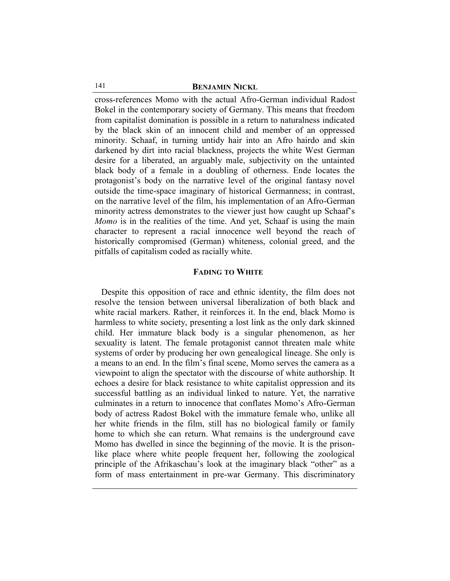cross-references Momo with the actual Afro-German individual Radost Bokel in the contemporary society of Germany. This means that freedom from capitalist domination is possible in a return to naturalness indicated by the black skin of an innocent child and member of an oppressed minority. Schaaf, in turning untidy hair into an Afro hairdo and skin darkened by dirt into racial blackness, projects the white West German desire for a liberated, an arguably male, subjectivity on the untainted black body of a female in a doubling of otherness. Ende locates the protagonist's body on the narrative level of the original fantasy novel outside the time-space imaginary of historical Germanness; in contrast, on the narrative level of the film, his implementation of an Afro-German minority actress demonstrates to the viewer just how caught up Schaaf's *Momo* is in the realities of the time. And yet, Schaaf is using the main character to represent a racial innocence well beyond the reach of historically compromised (German) whiteness, colonial greed, and the pitfalls of capitalism coded as racially white.

## **FADING TO WHITE**

Despite this opposition of race and ethnic identity, the film does not resolve the tension between universal liberalization of both black and white racial markers. Rather, it reinforces it. In the end, black Momo is harmless to white society, presenting a lost link as the only dark skinned child. Her immature black body is a singular phenomenon, as her sexuality is latent. The female protagonist cannot threaten male white systems of order by producing her own genealogical lineage. She only is a means to an end. In the film's final scene, Momo serves the camera as a viewpoint to align the spectator with the discourse of white authorship. It echoes a desire for black resistance to white capitalist oppression and its successful battling as an individual linked to nature. Yet, the narrative culminates in a return to innocence that conflates Momo's Afro-German body of actress Radost Bokel with the immature female who, unlike all her white friends in the film, still has no biological family or family home to which she can return. What remains is the underground cave Momo has dwelled in since the beginning of the movie. It is the prisonlike place where white people frequent her, following the zoological principle of the Afrikaschau's look at the imaginary black "other" as a form of mass entertainment in pre-war Germany. This discriminatory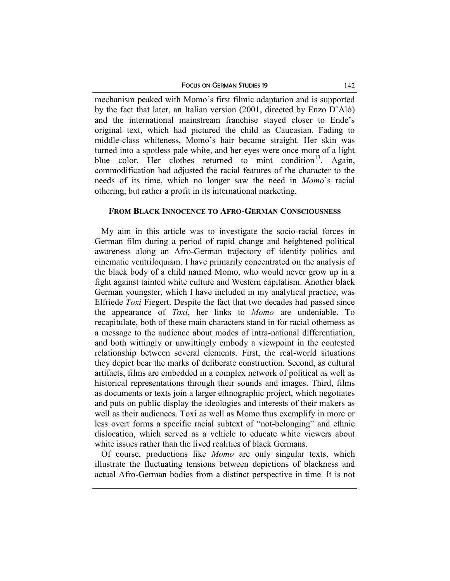mechanism peaked with Momo's first filmic adaptation and is supported by the fact that later, an Italian version (2001, directed by Enzo D'Alò) and the international mainstream franchise stayed closer to Ende's original text, which had pictured the child as Caucasian. Fading to middle-class whiteness, Momo's hair became straight. Her skin was turned into a spotless pale white, and her eyes were once more of a light blue color. Her clothes returned to mint condition<sup>13</sup>. Again, commodification had adjusted the racial features of the character to the needs of its time, which no longer saw the need in *Momo*'s racial othering, but rather a profit in its international marketing.

### **FROM BLACK INNOCENCE TO AFRO-GERMAN CONSCIOUSNESS**

My aim in this article was to investigate the socio-racial forces in German film during a period of rapid change and heightened political awareness along an Afro-German trajectory of identity politics and cinematic ventriloquism. I have primarily concentrated on the analysis of the black body of a child named Momo, who would never grow up in a fight against tainted white culture and Western capitalism. Another black German youngster, which I have included in my analytical practice, was Elfriede *Toxi* Fiegert. Despite the fact that two decades had passed since the appearance of *Toxi*, her links to *Momo* are undeniable. To recapitulate, both of these main characters stand in for racial otherness as a message to the audience about modes of intra-national differentiation, and both wittingly or unwittingly embody a viewpoint in the contested relationship between several elements. First, the real-world situations they depict bear the marks of deliberate construction. Second, as cultural artifacts, films are embedded in a complex network of political as well as historical representations through their sounds and images. Third, films as documents or texts join a larger ethnographic project, which negotiates and puts on public display the ideologies and interests of their makers as well as their audiences. Toxi as well as Momo thus exemplify in more or less overt forms a specific racial subtext of "not-belonging" and ethnic dislocation, which served as a vehicle to educate white viewers about white issues rather than the lived realities of black Germans.

Of course, productions like *Momo* are only singular texts, which illustrate the fluctuating tensions between depictions of blackness and actual Afro-German bodies from a distinct perspective in time. It is not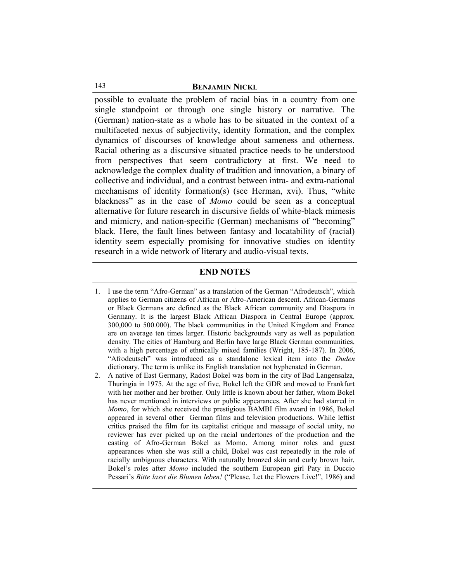possible to evaluate the problem of racial bias in a country from one single standpoint or through one single history or narrative. The (German) nation-state as a whole has to be situated in the context of a multifaceted nexus of subjectivity, identity formation, and the complex dynamics of discourses of knowledge about sameness and otherness. Racial othering as a discursive situated practice needs to be understood from perspectives that seem contradictory at first. We need to acknowledge the complex duality of tradition and innovation, a binary of collective and individual, and a contrast between intra- and extra-national mechanisms of identity formation(s) (see Herman, xvi). Thus, "white blackness" as in the case of *Momo* could be seen as a conceptual alternative for future research in discursive fields of white-black mimesis and mimicry, and nation-specific (German) mechanisms of "becoming" black. Here, the fault lines between fantasy and locatability of (racial) identity seem especially promising for innovative studies on identity research in a wide network of literary and audio-visual texts.

### **END NOTES**

- 1. I use the term "Afro-German" as a translation of the German "Afrodeutsch", which applies to German citizens of African or Afro-American descent. African-Germans or Black Germans are defined as the Black African community and Diaspora in Germany. It is the largest Black African Diaspora in Central Europe (approx. 300,000 to 500.000). The black communities in the United Kingdom and France are on average ten times larger. Historic backgrounds vary as well as population density. The cities of Hamburg and Berlin have large Black German communities, with a high percentage of ethnically mixed families (Wright, 185-187). In 2006, "Afrodeutsch" was introduced as a standalone lexical item into the *Duden* dictionary. The term is unlike its English translation not hyphenated in German.
- 2. A native of East Germany, Radost Bokel was born in the city of Bad Langensalza, Thuringia in 1975. At the age of five, Bokel left the GDR and moved to Frankfurt with her mother and her brother. Only little is known about her father, whom Bokel has never mentioned in interviews or public appearances. After she had starred in *Momo*, for which she received the prestigious BAMBI film award in 1986, Bokel appeared in several other German films and television productions. While leftist critics praised the film for its capitalist critique and message of social unity, no reviewer has ever picked up on the racial undertones of the production and the casting of Afro-German Bokel as Momo. Among minor roles and guest appearances when she was still a child, Bokel was cast repeatedly in the role of racially ambiguous characters. With naturally bronzed skin and curly brown hair, Bokel's roles after *Momo* included the southern European girl Paty in Duccio Pessari's *Bitte lasst die Blumen leben!* ("Please, Let the Flowers Live!", 1986) and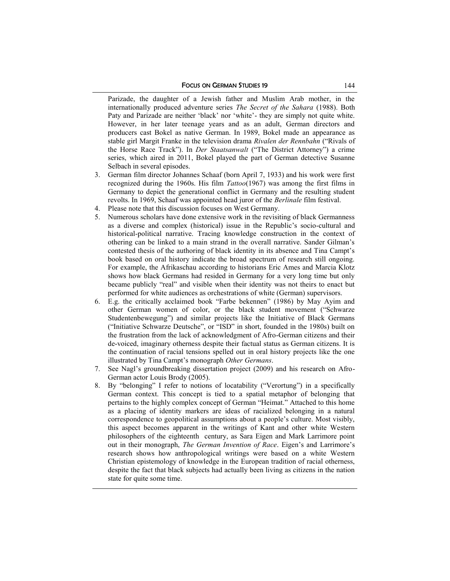Parizade, the daughter of a Jewish father and Muslim Arab mother, in the internationally produced adventure series *The Secret of the Sahara* (1988). Both Paty and Parizade are neither 'black' nor 'white'- they are simply not quite white. However, in her later teenage years and as an adult, German directors and producers cast Bokel as native German. In 1989, Bokel made an appearance as stable girl Margit Franke in the television drama *Rivalen der Rennbahn* ("Rivals of the Horse Race Track"). In *Der Staatsanwalt* ("The District Attorney") a crime series, which aired in 2011, Bokel played the part of German detective Susanne Selbach in several episodes.

- 3. German film director Johannes Schaaf (born April 7, 1933) and his work were first recognized during the 1960s. His film *Tattoo*(1967) was among the first films in Germany to depict the generational conflict in Germany and the resulting student revolts. In 1969, Schaaf was appointed head juror of the *Berlinale* film festival.
- 4. Please note that this discussion focuses on West Germany.
- 5. Numerous scholars have done extensive work in the revisiting of black Germanness as a diverse and complex (historical) issue in the Republic's socio-cultural and historical-political narrative. Tracing knowledge construction in the context of othering can be linked to a main strand in the overall narrative. Sander Gilman's contested thesis of the authoring of black identity in its absence and Tina Campt's book based on oral history indicate the broad spectrum of research still ongoing. For example, the Afrikaschau according to historians Eric Ames and Marcia Klotz shows how black Germans had resided in Germany for a very long time but only became publicly "real" and visible when their identity was not theirs to enact but performed for white audiences as orchestrations of white (German) supervisors.
- 6. E.g. the critically acclaimed book "Farbe bekennen" (1986) by May Ayim and other German women of color, or the black student movement ("Schwarze Studentenbewegung") and similar projects like the Initiative of Black Germans ("Initiative Schwarze Deutsche", or "ISD" in short, founded in the 1980s) built on the frustration from the lack of acknowledgment of Afro-German citizens and their de-voiced, imaginary otherness despite their factual status as German citizens. It is the continuation of racial tensions spelled out in oral history projects like the one illustrated by Tina Campt's monograph *Other Germans*.
- 7. See Nagl's groundbreaking dissertation project (2009) and his research on Afro-German actor Louis Brody (2005).
- 8. By "belonging" I refer to notions of locatability ("Verortung") in a specifically German context. This concept is tied to a spatial metaphor of belonging that pertains to the highly complex concept of German "Heimat." Attached to this home as a placing of identity markers are ideas of racialized belonging in a natural correspondence to geopolitical assumptions about a people's culture. Most visibly, this aspect becomes apparent in the writings of Kant and other white Western philosophers of the eighteenth century, as Sara Eigen and Mark Larrimore point out in their monograph, *The German Invention of Race*. Eigen's and Larrimore's research shows how anthropological writings were based on a white Western Christian epistemology of knowledge in the European tradition of racial otherness, despite the fact that black subjects had actually been living as citizens in the nation state for quite some time.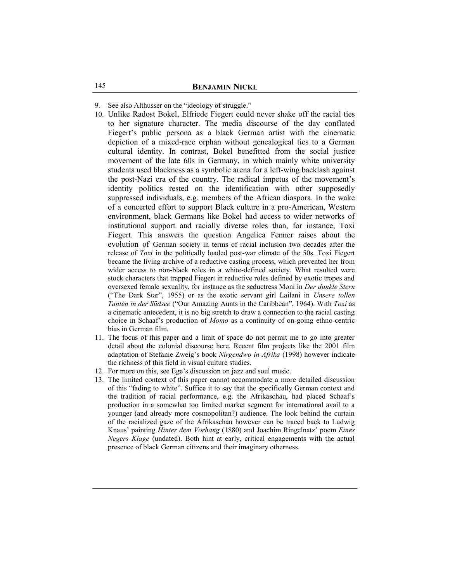- 9. See also Althusser on the "ideology of struggle."
- 10. Unlike Radost Bokel, Elfriede Fiegert could never shake off the racial ties to her signature character. The media discourse of the day conflated Fiegert's public persona as a black German artist with the cinematic depiction of a mixed-race orphan without genealogical ties to a German cultural identity. In contrast, Bokel benefitted from the social justice movement of the late 60s in Germany, in which mainly white university students used blackness as a symbolic arena for a left-wing backlash against the post-Nazi era of the country. The radical impetus of the movement's identity politics rested on the identification with other supposedly suppressed individuals, e.g. members of the African diaspora. In the wake of a concerted effort to support Black culture in a pro-American, Western environment, black Germans like Bokel had access to wider networks of institutional support and racially diverse roles than, for instance, Toxi Fiegert. This answers the question Angelica Fenner raises about the evolution of German society in terms of racial inclusion two decades after the release of *Toxi* in the politically loaded post-war climate of the 50s. Toxi Fiegert became the living archive of a reductive casting process, which prevented her from wider access to non-black roles in a white-defined society. What resulted were stock characters that trapped Fiegert in reductive roles defined by exotic tropes and oversexed female sexuality, for instance as the seductress Moni in *Der dunkle Stern*  ("The Dark Star", 1955) or as the exotic servant girl Lailani in *Unsere tollen Tanten in der Südsee* ("Our Amazing Aunts in the Caribbean", 1964). With *Toxi* as a cinematic antecedent, it is no big stretch to draw a connection to the racial casting choice in Schaaf's production of *Momo* as a continuity of on-going ethno-centric bias in German film.
- 11. The focus of this paper and a limit of space do not permit me to go into greater detail about the colonial discourse here. Recent film projects like the 2001 film adaptation of Stefanie Zweig's book *Nirgendwo in Afrika* (1998) however indicate the richness of this field in visual culture studies.
- 12. For more on this, see Ege's discussion on jazz and soul music.
- 13. The limited context of this paper cannot accommodate a more detailed discussion of this "fading to white". Suffice it to say that the specifically German context and the tradition of racial performance, e.g. the Afrikaschau, had placed Schaaf's production in a somewhat too limited market segment for international avail to a younger (and already more cosmopolitan?) audience. The look behind the curtain of the racialized gaze of the Afrikaschau however can be traced back to Ludwig Knaus' painting *Hinter dem Vorhang* (1880) and Joachim Ringelnatz' poem *Eines Negers Klage* (undated). Both hint at early, critical engagements with the actual presence of black German citizens and their imaginary otherness.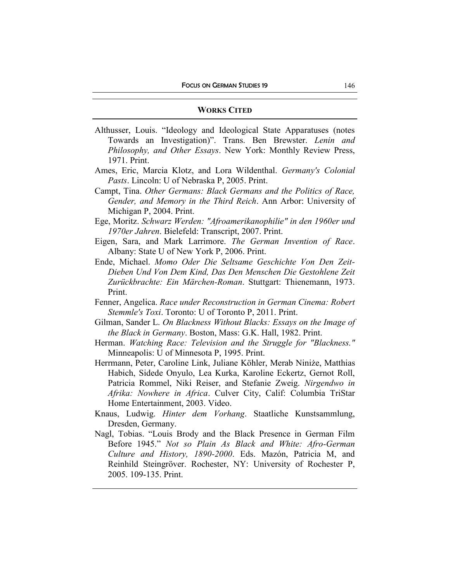#### **WORKS CITED**

- Althusser, Louis. "Ideology and Ideological State Apparatuses (notes Towards an Investigation)". Trans. Ben Brewster. *Lenin and Philosophy, and Other Essays*. New York: Monthly Review Press, 1971. Print.
- Ames, Eric, Marcia Klotz, and Lora Wildenthal. *Germany's Colonial Pasts*. Lincoln: U of Nebraska P, 2005. Print.
- Campt, Tina. *Other Germans: Black Germans and the Politics of Race, Gender, and Memory in the Third Reich*. Ann Arbor: University of Michigan P, 2004. Print.
- Ege, Moritz. *Schwarz Werden: "Afroamerikanophilie" in den 1960er und 1970er Jahren*. Bielefeld: Transcript, 2007. Print.
- Eigen, Sara, and Mark Larrimore. *The German Invention of Race*. Albany: State U of New York P, 2006. Print.
- Ende, Michael. *Momo Oder Die Seltsame Geschichte Von Den Zeit-Dieben Und Von Dem Kind, Das Den Menschen Die Gestohlene Zeit Zurückbrachte: Ein Märchen-Roman*. Stuttgart: Thienemann, 1973. Print.
- Fenner, Angelica. *Race under Reconstruction in German Cinema: Robert Stemmle's Toxi*. Toronto: U of Toronto P, 2011. Print.
- Gilman, Sander L. *On Blackness Without Blacks: Essays on the Image of the Black in Germany*. Boston, Mass: G.K. Hall, 1982. Print.
- Herman. *Watching Race: Television and the Struggle for "Blackness."* Minneapolis: U of Minnesota P, 1995. Print.
- Herrmann, Peter, Caroline Link, Juliane Köhler, Merab Niniże, Matthias Habich, Sidede Onyulo, Lea Kurka, Karoline Eckertz, Gernot Roll, Patricia Rommel, Niki Reiser, and Stefanie Zweig. *Nirgendwo in Afrika: Nowhere in Africa*. Culver City, Calif: Columbia TriStar Home Entertainment, 2003. Video.
- Knaus, Ludwig. *Hinter dem Vorhang*. Staatliche Kunstsammlung, Dresden, Germany.
- Nagl, Tobias. "Louis Brody and the Black Presence in German Film Before 1945." *Not so Plain As Black and White: Afro-German Culture and History, 1890-2000*. Eds. Mazón, Patricia M, and Reinhild Steingröver. Rochester, NY: University of Rochester P, 2005. 109-135. Print.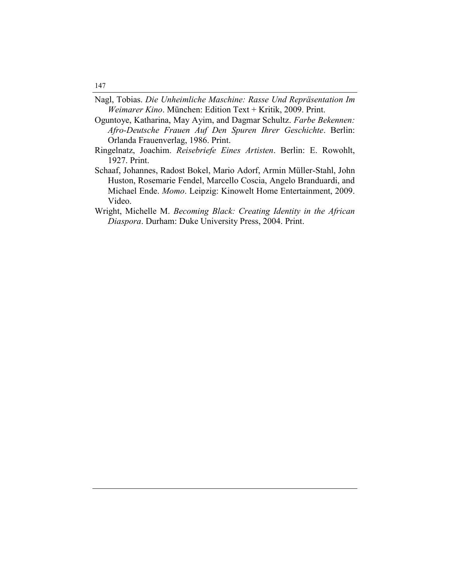- Nagl, Tobias. *Die Unheimliche Maschine: Rasse Und Repräsentation Im Weimarer Kino*. München: Edition Text + Kritik, 2009. Print.
- Oguntoye, Katharina, May Ayim, and Dagmar Schultz. *Farbe Bekennen: Afro-Deutsche Frauen Auf Den Spuren Ihrer Geschichte*. Berlin: Orlanda Frauenverlag, 1986. Print.
- Ringelnatz, Joachim. *Reisebriefe Eines Artisten*. Berlin: E. Rowohlt, 1927. Print.
- Schaaf, Johannes, Radost Bokel, Mario Adorf, Armin Müller-Stahl, John Huston, Rosemarie Fendel, Marcello Coscia, Angelo Branduardi, and Michael Ende. *Momo*. Leipzig: Kinowelt Home Entertainment, 2009. Video.
- Wright, Michelle M. *Becoming Black: Creating Identity in the African Diaspora*. Durham: Duke University Press, 2004. Print.